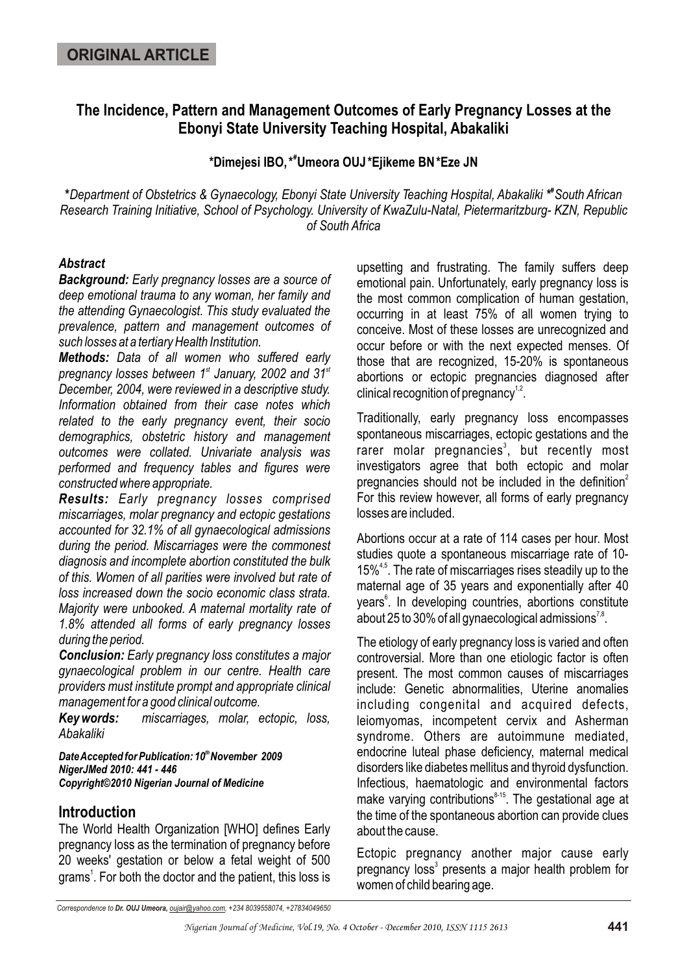# **The Incidence, Pattern and Management Outcomes of Early Pregnancy Losses at the Ebonyi State University Teaching Hospital, Abakaliki**

**# \*Dimejesi IBO,\* Umeora OUJ\*Ejikeme BN\*Eze JN**

*#* **\****Department of Obstetrics & Gynaecology, Ebonyi State University Teaching Hospital, Abakaliki \* South African Research Training Initiative, School of Psychology. University of KwaZulu-Natal, Pietermaritzburg- KZN, Republic of South Africa*

### *Abstract*

*Background: Early pregnancy losses are a source of deep emotional trauma to any woman, her family and the attending Gynaecologist. This study evaluated the prevalence, pattern and management outcomes of such losses at a tertiary Health Institution.* 

*Methods: Data of all women who suffered early pregnancy losses between* 1<sup>st</sup> January, 2002 and 31<sup>st</sup> *December, 2004, were reviewed in a descriptive study. Information obtained from their case notes which related to the early pregnancy event, their socio demographics, obstetric history and management outcomes were collated. Univariate analysis was performed and frequency tables and figures were constructed where appropriate.*

*Results: Early pregnancy losses comprised miscarriages, molar pregnancy and ectopic gestations accounted for 32.1% of all gynaecological admissions during the period. Miscarriages were the commonest diagnosis and incomplete abortion constituted the bulk of this. Women of all parities were involved but rate of loss increased down the socio economic class strata. Majority were unbooked. A maternal mortality rate of 1.8% attended all forms of early pregnancy losses during the period.*

*Conclusion: Early pregnancy loss constitutes a major gynaecological problem in our centre. Health care providers must institute prompt and appropriate clinical management for a good clinical outcome.* 

*Key words: miscarriages, molar, ectopic, loss, Abakaliki*

*th Date Accepted for Publication: 10 November 2009 NigerJMed 2010: 441 - 446 Copyright©2010 Nigerian Journal of Medicine*

### **Introduction**

The World Health Organization [WHO] defines Early pregnancy loss as the termination of pregnancy before 20 weeks' gestation or below a fetal weight of 500 grams<sup>1</sup>. For both the doctor and the patient, this loss is upsetting and frustrating. The family suffers deep emotional pain. Unfortunately, early pregnancy loss is the most common complication of human gestation, occurring in at least 75% of all women trying to conceive. Most of these losses are unrecognized and occur before or with the next expected menses. Of those that are recognized, 15-20% is spontaneous abortions or ectopic pregnancies diagnosed after clinical recognition of pregnancy<sup>1,2</sup>.

Traditionally, early pregnancy loss encompasses spontaneous miscarriages, ectopic gestations and the rarer molar pregnancies<sup>3</sup>, but recently most investigators agree that both ectopic and molar pregnancies should not be included in the definition<sup>2</sup> For this review however, all forms of early pregnancy losses are included.

Abortions occur at a rate of 114 cases per hour. Most studies quote a spontaneous miscarriage rate of 10- 15%<sup>4,5</sup>. The rate of miscarriages rises steadily up to the maternal age of 35 years and exponentially after 40 years<sup>6</sup>. In developing countries, abortions constitute about 25 to 30% of all gynaecological admissions<sup>7,8</sup>.

The etiology of early pregnancy loss is varied and often controversial. More than one etiologic factor is often present. The most common causes of miscarriages include: Genetic abnormalities, Uterine anomalies including congenital and acquired defects, leiomyomas, incompetent cervix and Asherman syndrome. Others are autoimmune mediated, endocrine luteal phase deficiency, maternal medical disorders like diabetes mellitus and thyroid dysfunction. Infectious, haematologic and environmental factors make varying contributions $845$ . The gestational age at the time of the spontaneous abortion can provide clues about the cause.

Ectopic pregnancy another major cause early pregnancy loss<sup>3</sup> presents a major health problem for women of child bearing age.

*Correspondence to Dr. OUJ Umeora, oujair@yahoo.com, +234 8039558074, +27834049650*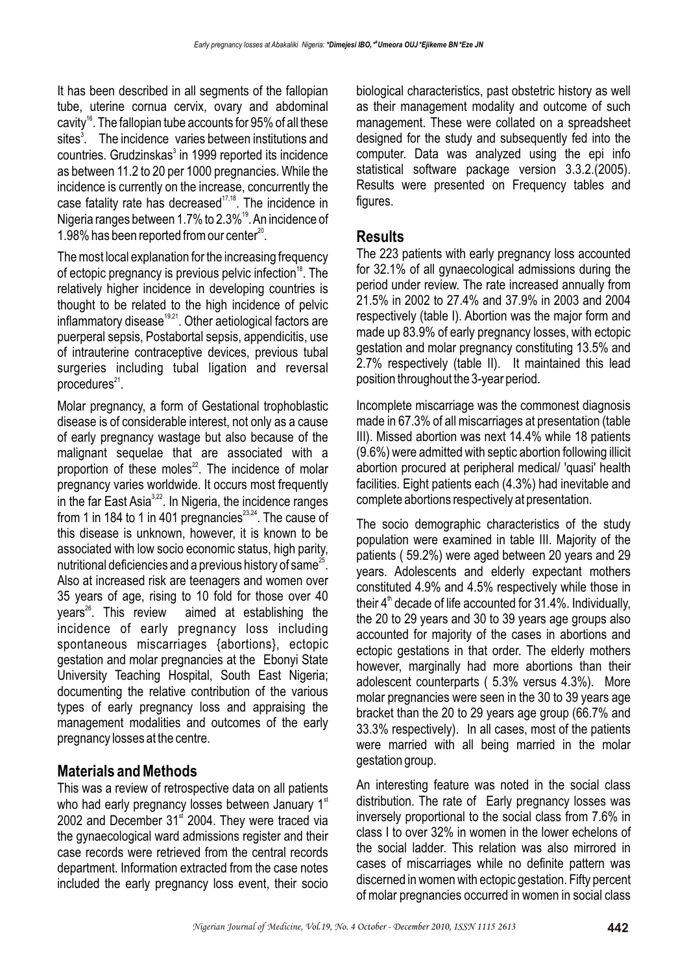It has been described in all segments of the fallopian tube, uterine cornua cervix, ovary and abdominal cavity<sup>16</sup>. The fallopian tube accounts for 95% of all these sites<sup>3</sup>. The incidence varies between institutions and countries. Grudzinskas<sup>3</sup> in 1999 reported its incidence as between 11.2 to 20 per 1000 pregnancies. While the incidence is currently on the increase, concurrently the case fatality rate has decreased<sup> $17,18$ </sup>. The incidence in Nigeria ranges between 1.7% to 2.3%<sup>19</sup>. An incidence of 1.98% has been reported from our center $^{20}$ .

The most local explanation for the increasing frequency of ectopic pregnancy is previous pelvic infection<sup>18</sup>. The relatively higher incidence in developing countries is thought to be related to the high incidence of pelvic  $infl$ ammatory disease<sup>19,21</sup>. Other aetiological factors are puerperal sepsis, Postabortal sepsis, appendicitis, use of intrauterine contraceptive devices, previous tubal surgeries including tubal ligation and reversal procedures $21$ .

Molar pregnancy, a form of Gestational trophoblastic disease is of considerable interest, not only as a cause of early pregnancy wastage but also because of the malignant sequelae that are associated with a proportion of these moles $^{22}$ . The incidence of molar pregnancy varies worldwide. It occurs most frequently  $\overline{a}$  in the far East Asia<sup>3,22</sup>. In Nigeria, the incidence ranges from 1 in 184 to 1 in 401 pregnancies $^{23,24}$ . The cause of this disease is unknown, however, it is known to be associated with low socio economic status, high parity, nutritional deficiencies and a previous history of same $^{25}$ . Also at increased risk are teenagers and women over 35 years of age, rising to 10 fold for those over 40  $years<sup>26</sup>$ . This review aimed at establishing the incidence of early pregnancy loss including spontaneous miscarriages {abortions}, ectopic gestation and molar pregnancies at the Ebonyi State University Teaching Hospital, South East Nigeria; documenting the relative contribution of the various types of early pregnancy loss and appraising the management modalities and outcomes of the early pregnancy losses at the centre.

# **Materials and Methods**

This was a review of retrospective data on all patients who had early pregnancy losses between January  $1<sup>st</sup>$ 2002 and December  $31<sup>st</sup>$  2004. They were traced via the gynaecological ward admissions register and their case records were retrieved from the central records department. Information extracted from the case notes included the early pregnancy loss event, their socio biological characteristics, past obstetric history as well as their management modality and outcome of such management. These were collated on a spreadsheet designed for the study and subsequently fed into the computer. Data was analyzed using the epi info statistical software package version 3.3.2.(2005). Results were presented on Frequency tables and figures.

### **Results**

The 223 patients with early pregnancy loss accounted for 32.1% of all gynaecological admissions during the period under review. The rate increased annually from 21.5% in 2002 to 27.4% and 37.9% in 2003 and 2004 respectively (table I). Abortion was the major form and made up 83.9% of early pregnancy losses, with ectopic gestation and molar pregnancy constituting 13.5% and 2.7% respectively (table II). It maintained this lead position throughout the 3-year period.

Incomplete miscarriage was the commonest diagnosis made in 67.3% of all miscarriages at presentation (table III). Missed abortion was next 14.4% while 18 patients (9.6%) were admitted with septic abortion following illicit abortion procured at peripheral medical/ 'quasi' health facilities. Eight patients each (4.3%) had inevitable and complete abortions respectively at presentation.

The socio demographic characteristics of the study population were examined in table III. Majority of the patients ( 59.2%) were aged between 20 years and 29 years. Adolescents and elderly expectant mothers constituted 4.9% and 4.5% respectively while those in their  $4<sup>th</sup>$  decade of life accounted for 31.4%. Individually, the 20 to 29 years and 30 to 39 years age groups also accounted for majority of the cases in abortions and ectopic gestations in that order. The elderly mothers however, marginally had more abortions than their adolescent counterparts ( 5.3% versus 4.3%). More molar pregnancies were seen in the 30 to 39 years age bracket than the 20 to 29 years age group (66.7% and 33.3% respectively). In all cases, most of the patients were married with all being married in the molar gestation group.

An interesting feature was noted in the social class distribution. The rate of Early pregnancy losses was inversely proportional to the social class from 7.6% in class I to over 32% in women in the lower echelons of the social ladder. This relation was also mirrored in cases of miscarriages while no definite pattern was discerned in women with ectopic gestation. Fifty percent of molar pregnancies occurred in women in social class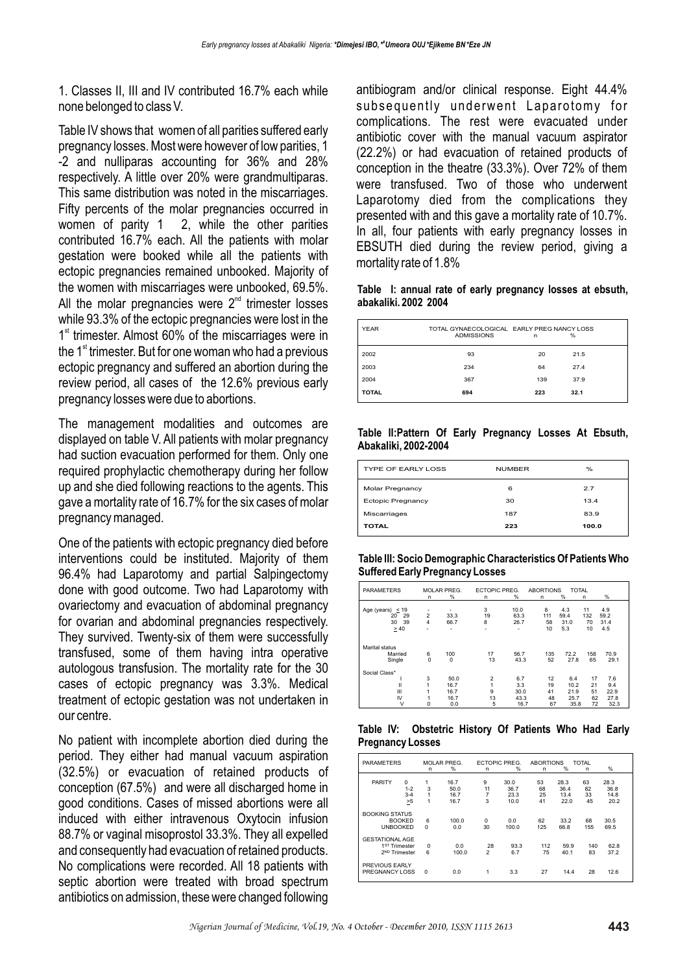1. Classes II, III and IV contributed 16.7% each while none belonged to class V.

Table IV shows that women of all parities suffered early pregnancy losses. Most were however of low parities, 1 -2 and nulliparas accounting for 36% and 28% respectively. A little over 20% were grandmultiparas. This same distribution was noted in the miscarriages. Fifty percents of the molar pregnancies occurred in women of parity 1 2, while the other parities contributed 16.7% each. All the patients with molar gestation were booked while all the patients with ectopic pregnancies remained unbooked. Majority of the women with miscarriages were unbooked, 69.5%. All the molar pregnancies were  $2<sup>nd</sup>$  trimester losses while 93.3% of the ectopic pregnancies were lost in the  $1<sup>st</sup>$  trimester. Almost 60% of the miscarriages were in the  $1<sup>st</sup>$  trimester. But for one woman who had a previous ectopic pregnancy and suffered an abortion during the review period, all cases of the 12.6% previous early pregnancy losses were due to abortions.

The management modalities and outcomes are displayed on table V. All patients with molar pregnancy had suction evacuation performed for them. Only one required prophylactic chemotherapy during her follow up and she died following reactions to the agents. This gave a mortality rate of 16.7% for the six cases of molar pregnancy managed.

One of the patients with ectopic pregnancy died before interventions could be instituted. Majority of them 96.4% had Laparotomy and partial Salpingectomy done with good outcome. Two had Laparotomy with ovariectomy and evacuation of abdominal pregnancy for ovarian and abdominal pregnancies respectively. They survived. Twenty-six of them were successfully transfused, some of them having intra operative autologous transfusion. The mortality rate for the 30 cases of ectopic pregnancy was 3.3%. Medical treatment of ectopic gestation was not undertaken in our centre.

No patient with incomplete abortion died during the period. They either had manual vacuum aspiration (32.5%) or evacuation of retained products of conception (67.5%) and were all discharged home in good conditions. Cases of missed abortions were all induced with either intravenous Oxytocin infusion 88.7% or vaginal misoprostol 33.3%. They all expelled and consequently had evacuation of retained products. No complications were recorded. All 18 patients with septic abortion were treated with broad spectrum antibiotics on admission, these were changed following

antibiogram and/or clinical response. Eight 44.4% subsequently underwent Laparotomy for complications. The rest were evacuated under antibiotic cover with the manual vacuum aspirator (22.2%) or had evacuation of retained products of conception in the theatre (33.3%). Over 72% of them were transfused. Two of those who underwent Laparotomy died from the complications they presented with and this gave a mortality rate of 10.7%. In all, four patients with early pregnancy losses in EBSUTH died during the review period, giving a mortality rate of 1.8%

#### **Table I: annual rate of early pregnancy losses at ebsuth, abakaliki. 2002 2004**

| <b>YEAR</b>  | TOTAL GYNAECOLOGICAL EARLY PREG NANCY LOSS<br><b>ADMISSIONS</b> | n   | %    |
|--------------|-----------------------------------------------------------------|-----|------|
| 2002         | 93                                                              | 20  | 21.5 |
| 2003         | 234                                                             | 64  | 27.4 |
| 2004         | 367                                                             | 139 | 37.9 |
| <b>TOTAL</b> | 694                                                             | 223 | 32.1 |

#### **Table II:Pattern Of Early Pregnancy Losses At Ebsuth, Abakaliki, 2002-2004**

| TYPE OF FARLY LOSS       | <b>NUMBER</b> | $\%$  |
|--------------------------|---------------|-------|
| <b>Molar Pregnancy</b>   | 6             | 2.7   |
| <b>Ectopic Pregnancy</b> | 30            | 13.4  |
| Miscarriages             | 187           | 83.9  |
| <b>TOTAL</b>             | 223           | 100.0 |

#### **Table III: Socio Demographic Characteristics Of Patients Who Suffered Early Pregnancy Losses**

| <b>PARAMETERS</b>  |                | <b>MOLAR PREG.</b> | <b>ECTOPIC PREG.</b> |      | <b>ABORTIONS</b> | <b>TOTAL</b> |     |      |
|--------------------|----------------|--------------------|----------------------|------|------------------|--------------|-----|------|
|                    | n              | %                  | n                    | %    | n                | %            | n   | %    |
|                    |                |                    |                      |      |                  |              |     |      |
| Age (years) $<$ 19 |                |                    | 3                    | 10.0 | 8                | 4.3          | 11  | 4.9  |
| 29<br>20           | $\overline{2}$ | 33.3               | 19                   | 63.3 | 111              | 59.4         | 132 | 59.2 |
| 39<br>30           | 4              | 66.7               | 8                    | 26.7 | 58               | 31.0         | 70  | 31.4 |
| $\geq 40$          | ٠              |                    | ۰                    | ٠    | 10               | 5.3          | 10  | 4.5  |
|                    |                |                    |                      |      |                  |              |     |      |
| Marital status     |                |                    |                      |      |                  |              |     |      |
| Married            | 6              | 100                | 17                   | 56.7 | 135              | 72.2         | 158 | 70.9 |
| Single             | $\mathbf 0$    | $\mathbf 0$        | 13                   | 43.3 | 52               | 27.8         | 65  | 29.1 |
| Social Class*      |                |                    |                      |      |                  |              |     |      |
|                    | 3              | 50.0               | $\overline{2}$       | 6.7  | 12               | 6.4          | 17  | 7.6  |
| Ш                  |                | 16.7               |                      | 3.3  | 19               | 10.2         | 21  | 9.4  |
| Ш                  |                | 16.7               | 9                    | 30.0 | 41               | 21.9         | 51  | 22.9 |
| IV                 |                | 16.7               | 13                   | 43.3 | 48               | 25.7         | 62  | 27.8 |
| ٧                  | 0              | 0.0                | 5                    | 16.7 | 67               | 35.8         | 72  | 32.3 |

**Table IV: Obstetric History Of Patients Who Had Early Pregnancy Losses**

| <b>PARAMETERS</b>                |                     |          | MOLAR PREG.  | <b>ECTOPIC PREG.</b> |              | <b>ABORTIONS</b> |              | <b>TOTAL</b> |              |  |
|----------------------------------|---------------------|----------|--------------|----------------------|--------------|------------------|--------------|--------------|--------------|--|
|                                  |                     | n        | %            | n                    | %            | n                | %            | n            | %            |  |
| <b>PARITY</b>                    | $\Omega$<br>$1 - 2$ | 1<br>3   | 16.7<br>50.0 | 9<br>11              | 30.0<br>36.7 | 53<br>68         | 28.3<br>36.4 | 63<br>82     | 28.3<br>36.8 |  |
|                                  | $3 - 4$             | 1        | 16.7         | 7                    | 23.3         | 25               | 13.4         | 33           | 14.8         |  |
|                                  | >5                  | 1        | 16.7         | 3                    | 10.0         | 41               | 22.0         | 45           | 20.2         |  |
| <b>BOOKING STATUS</b>            |                     |          |              |                      |              |                  |              |              |              |  |
|                                  | <b>BOOKED</b>       | 6        | 100.0        | $\Omega$             | 0.0          | 62               | 33.2         | 68           | 30.5         |  |
| <b>UNBOOKED</b>                  |                     | $\Omega$ | 0.0          | 30                   | 100.0        | 125              | 66.8         | 155          | 69.5         |  |
| <b>GESTATIONAL AGE</b>           |                     |          |              |                      |              |                  |              |              |              |  |
| 1 <sup>ST</sup> Trimester        |                     | $\Omega$ | 0.0          | 28                   | 93.3         | 112              | 59.9         | 140          | 62.8         |  |
| 2 <sup>ND</sup> Trimester        |                     | 6        | 100.0        | 2                    | 6.7          | 75               | 40.1         | 83           | 37.2         |  |
| PREVIOUS FARLY<br>PREGNANCY LOSS |                     | $\Omega$ | 0.0          | 1                    | 3.3          | 27               | 14.4         | 28           | 12.6         |  |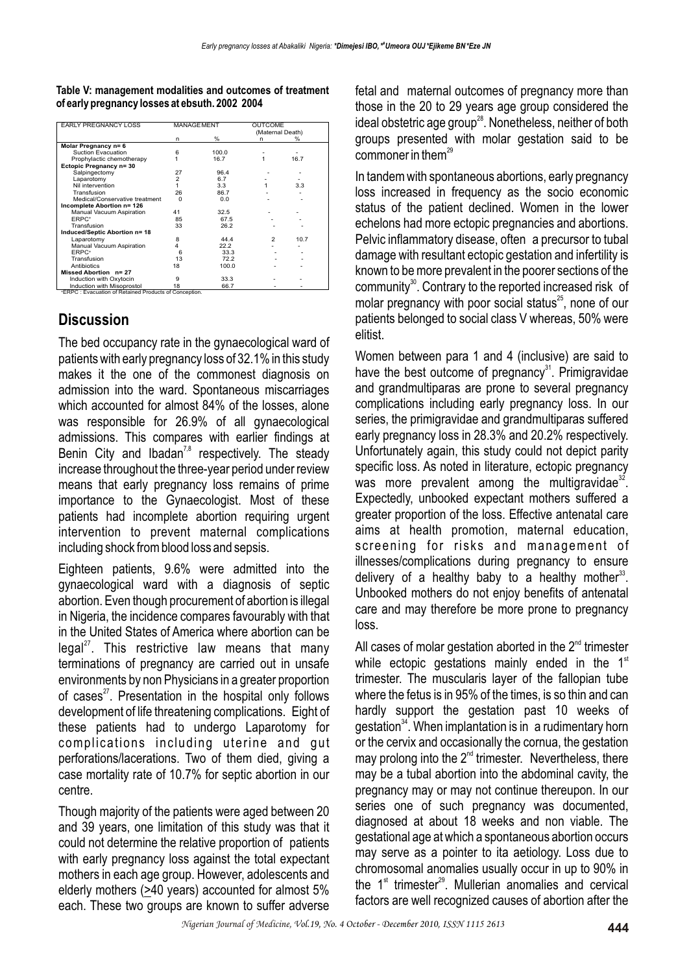**Table V: management modalities and outcomes of treatment of early pregnancy losses at ebsuth. 2002 2004**

| n<br>Molar Pregnancy n= 6<br>Suction Evacuation<br>6<br>Prophylactic chemotherapy<br>Ectopic Pregnancy n= 30<br>Salpingectomy<br>27<br>$\overline{2}$<br>Laparotomy<br>Nil intervention | %<br>100.0<br>16.7<br>96.4<br>6.7 | (Maternal Death)<br>n | %<br>16.7 |
|-----------------------------------------------------------------------------------------------------------------------------------------------------------------------------------------|-----------------------------------|-----------------------|-----------|
|                                                                                                                                                                                         |                                   |                       |           |
|                                                                                                                                                                                         |                                   |                       |           |
|                                                                                                                                                                                         |                                   |                       |           |
|                                                                                                                                                                                         |                                   |                       |           |
|                                                                                                                                                                                         |                                   |                       |           |
|                                                                                                                                                                                         |                                   |                       |           |
|                                                                                                                                                                                         |                                   |                       |           |
|                                                                                                                                                                                         |                                   |                       |           |
|                                                                                                                                                                                         | 3.3                               |                       | 3.3       |
| 26<br>Transfusion                                                                                                                                                                       | 86.7                              |                       |           |
| Medical/Conservative treatment<br>$\Omega$                                                                                                                                              | 0.0                               |                       |           |
| Incomplete Abortion n= 126                                                                                                                                                              |                                   |                       |           |
| Manual Vacuum Aspiration<br>41                                                                                                                                                          | 32.5                              |                       |           |
| <b>ERPC+</b><br>85                                                                                                                                                                      | 67.5                              |                       |           |
| Transfusion<br>33                                                                                                                                                                       | 26.2                              |                       |           |
| Induced/Septic Abortion n= 18                                                                                                                                                           |                                   |                       |           |
| Laparotomy<br>8                                                                                                                                                                         | 44.4                              | $\mathfrak{p}$        | 10.7      |
| Manual Vacuum Aspiration<br>4                                                                                                                                                           | 22.2                              |                       |           |
| <b>ERPC+</b><br>6                                                                                                                                                                       | 33.3                              |                       |           |
| 13<br>Transfusion                                                                                                                                                                       | 72.2                              |                       |           |
| Antibiotics<br>18                                                                                                                                                                       | 100.0                             |                       |           |
| Missed Abortion n= 27                                                                                                                                                                   |                                   |                       |           |
| Induction with Oxytocin<br>9                                                                                                                                                            | 33.3                              |                       |           |
| Induction with Misoprostol<br>18                                                                                                                                                        | 66.7                              |                       |           |

# **Discussion**

The bed occupancy rate in the gynaecological ward of patients with early pregnancy loss of 32.1% in this study makes it the one of the commonest diagnosis on admission into the ward. Spontaneous miscarriages which accounted for almost 84% of the losses, alone was responsible for 26.9% of all gynaecological admissions. This compares with earlier findings at Benin City and Ibadan<sup>7,8</sup> respectively. The steady increase throughout the three-year period under review means that early pregnancy loss remains of prime importance to the Gynaecologist. Most of these patients had incomplete abortion requiring urgent intervention to prevent maternal complications including shock from blood loss and sepsis.

Eighteen patients, 9.6% were admitted into the gynaecological ward with a diagnosis of septic abortion. Even though procurement of abortion is illegal in Nigeria, the incidence compares favourably with that in the United States of America where abortion can be  $\text{legal}^{27}$ . This restrictive law means that many terminations of pregnancy are carried out in unsafe environments by non Physicians in a greater proportion of cases $^{27}$ . Presentation in the hospital only follows development of life threatening complications. Eight of these patients had to undergo Laparotomy for complications including uterine and gut perforations/lacerations. Two of them died, giving a case mortality rate of 10.7% for septic abortion in our centre.

Though majority of the patients were aged between 20 and 39 years, one limitation of this study was that it could not determine the relative proportion of patients with early pregnancy loss against the total expectant mothers in each age group. However, adolescents and elderly mothers ( $\geq 40$  years) accounted for almost 5% each. These two groups are known to suffer adverse fetal and maternal outcomes of pregnancy more than those in the 20 to 29 years age group considered the ideal obstetric age group<sup>28</sup>. Nonetheless, neither of both groups presented with molar gestation said to be commoner in them $^{29}$ 

In tandem with spontaneous abortions, early pregnancy loss increased in frequency as the socio economic status of the patient declined. Women in the lower echelons had more ectopic pregnancies and abortions. Pelvic inflammatory disease, often a precursor to tubal damage with resultant ectopic gestation and infertility is known to be more prevalent in the poorer sections of the community<sup>30</sup>. Contrary to the reported increased risk of molar pregnancy with poor social status $25$ , none of our patients belonged to social class V whereas, 50% were elitist.

Women between para 1 and 4 (inclusive) are said to have the best outcome of pregnancy<sup>31</sup>. Primigravidae and grandmultiparas are prone to several pregnancy complications including early pregnancy loss. In our series, the primigravidae and grandmultiparas suffered early pregnancy loss in 28.3% and 20.2% respectively. Unfortunately again, this study could not depict parity specific loss. As noted in literature, ectopic pregnancy was more prevalent among the multigravidae $^{32}$ . Expectedly, unbooked expectant mothers suffered a greater proportion of the loss. Effective antenatal care aims at health promotion, maternal education, screening for risks and management of illnesses/complications during pregnancy to ensure delivery of a healthy baby to a healthy mother $33$ . Unbooked mothers do not enjoy benefits of antenatal care and may therefore be more prone to pregnancy loss.

All cases of molar gestation aborted in the  $2^{nd}$  trimester while ectopic gestations mainly ended in the  $1<sup>st</sup>$ trimester. The muscularis layer of the fallopian tube where the fetus is in 95% of the times, is so thin and can hardly support the gestation past 10 weeks of gestation<sup>34</sup>. When implantation is in a rudimentary horn or the cervix and occasionally the cornua, the gestation may prolong into the  $2<sup>nd</sup>$  trimester. Nevertheless, there may be a tubal abortion into the abdominal cavity, the pregnancy may or may not continue thereupon. In our series one of such pregnancy was documented. diagnosed at about 18 weeks and non viable. The gestational age at which a spontaneous abortion occurs may serve as a pointer to ita aetiology. Loss due to chromosomal anomalies usually occur in up to 90% in the  $1<sup>st</sup>$  trimester<sup>29</sup>. Mullerian anomalies and cervical factors are well recognized causes of abortion after the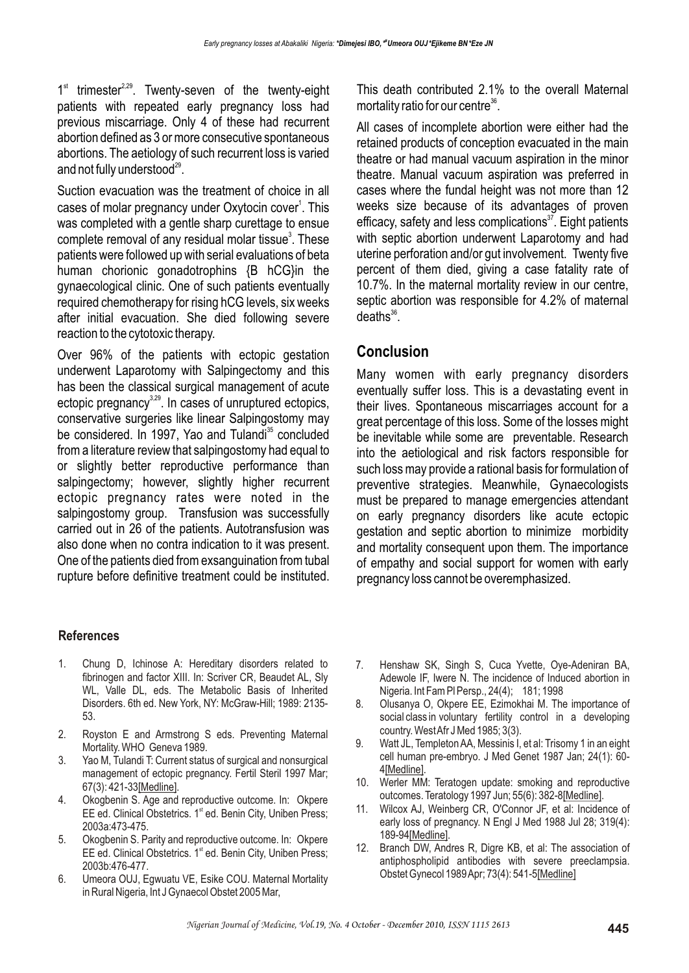$1<sup>st</sup>$  trimester<sup>2,29</sup>. Twenty-seven of the twenty-eight patients with repeated early pregnancy loss had previous miscarriage. Only 4 of these had recurrent abortion defined as 3 or more consecutive spontaneous abortions. The aetiology of such recurrent loss is varied and not fully understood $^{29}$ .

Suction evacuation was the treatment of choice in all cases of molar pregnancy under Oxytocin cover<sup>1</sup>. This was completed with a gentle sharp curettage to ensue complete removal of any residual molar tissue<sup>3</sup>. These patients were followed up with serial evaluations of beta human chorionic gonadotrophins {B hCG}in the gynaecological clinic. One of such patients eventually required chemotherapy for rising hCG levels, six weeks after initial evacuation. She died following severe reaction to the cytotoxic therapy.

Over 96% of the patients with ectopic gestation underwent Laparotomy with Salpingectomy and this has been the classical surgical management of acute ectopic pregnancy<sup>3,29</sup>. In cases of unruptured ectopics, conservative surgeries like linear Salpingostomy may be considered. In 1997, Yao and Tulandi<sup>35</sup> concluded from a literature review that salpingostomy had equal to or slightly better reproductive performance than salpingectomy; however, slightly higher recurrent ectopic pregnancy rates were noted in the salpingostomy group. Transfusion was successfully carried out in 26 of the patients. Autotransfusion was also done when no contra indication to it was present. One of the patients died from exsanguination from tubal rupture before definitive treatment could be instituted.

This death contributed 2.1% to the overall Maternal mortality ratio for our centre $36$ .

All cases of incomplete abortion were either had the retained products of conception evacuated in the main theatre or had manual vacuum aspiration in the minor theatre. Manual vacuum aspiration was preferred in cases where the fundal height was not more than 12 weeks size because of its advantages of proven efficacy, safety and less complications $37$ . Eight patients with septic abortion underwent Laparotomy and had uterine perforation and/or gut involvement. Twenty five percent of them died, giving a case fatality rate of 10.7%. In the maternal mortality review in our centre, septic abortion was responsible for 4.2% of maternal  $deaths<sup>36</sup>$ 

## **Conclusion**

Many women with early pregnancy disorders eventually suffer loss. This is a devastating event in their lives. Spontaneous miscarriages account for a great percentage of this loss. Some of the losses might be inevitable while some are preventable. Research into the aetiological and risk factors responsible for such loss may provide a rational basis for formulation of preventive strategies. Meanwhile, Gynaecologists must be prepared to manage emergencies attendant on early pregnancy disorders like acute ectopic gestation and septic abortion to minimize morbidity and mortality consequent upon them. The importance of empathy and social support for women with early pregnancy loss cannot be overemphasized.

### **References**

- 1. Chung D, Ichinose A: Hereditary disorders related to fibrinogen and factor XIII. In: Scriver CR, Beaudet AL, Sly WL, Valle DL, eds. The Metabolic Basis of Inherited Disorders. 6th ed. New York, NY: McGraw-Hill; 1989: 2135- 53.
- 2. Royston E and Armstrong S eds. Preventing Maternal Mortality. WHO Geneva 1989.
- 3. Yao M, Tulandi T: Current status of surgical and nonsurgical management of ectopic pregnancy. Fertil Steril 1997 Mar; 67(3): 421-33[Medline].
- 4. Okogbenin S. Age and reproductive outcome. In: Okpere EE ed. Clinical Obstetrics. 1<sup>st</sup> ed. Benin City, Uniben Press; 2003a:473-475.
- 5. Okogbenin S. Parity and reproductive outcome. In: Okpere EE ed. Clinical Obstetrics. 1<sup>st</sup> ed. Benin City, Uniben Press; 2003b:476-477.
- 6. Umeora OUJ, Egwuatu VE, Esike COU. Maternal Mortality in Rural Nigeria, Int J Gynaecol Obstet 2005 Mar,
- 7. Henshaw SK, Singh S, Cuca Yvette, Oye-Adeniran BA, Adewole IF, Iwere N. The incidence of Induced abortion in Nigeria. Int Fam Pl Persp., 24(4); 181; 1998
- 8. Olusanya O, Okpere EE, Ezimokhai M. The importance of social class in voluntary fertility control in a developing country. West Afr J Med 1985; 3(3).
- 9. Watt JL, Templeton AA, Messinis I, et al: Trisomy 1 in an eight cell human pre-embryo. J Med Genet 1987 Jan; 24(1): 60- 4[Medline].
- 10. Werler MM: Teratogen update: smoking and reproductive outcomes. Teratology 1997 Jun; 55(6): 382-8[Medline].
- 11. Wilcox AJ, Weinberg CR, O'Connor JF, et al: Incidence of early loss of pregnancy. N Engl J Med 1988 Jul 28; 319(4): 189-94[Medline].
- 12. Branch DW, Andres R, Digre KB, et al: The association of antiphospholipid antibodies with severe preeclampsia. Obstet Gynecol 1989 Apr; 73(4): 541-5[Medline]